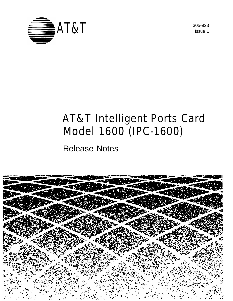

Issue 1

# AT&T Intelligent Ports Card Model 1600 (IPC-1600)

Release Notes

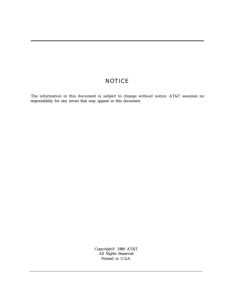#### **NOTICE**

The information in this document is subject to change without notice. AT&T assumes no responsibility for any errors that may appear in this document.

> Copyright© 1989 AT&T All Rights Reserved Printed in U.S.A.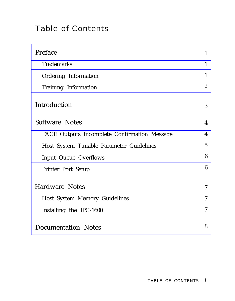# Table of Contents

| Preface                                      | $\mathbf{1}$             |
|----------------------------------------------|--------------------------|
| <b>Trademarks</b>                            | $\mathbf{1}$             |
| Ordering Information                         | $\mathbf{1}$             |
| Training Information                         | $\boldsymbol{2}$         |
| Introduction                                 | 3                        |
| <b>Software Notes</b>                        | $\overline{4}$           |
| FACE Outputs Incomplete Confirmation Message | $\boldsymbol{4}$         |
| Host System Tunable Parameter Guidelines     | $\overline{5}$           |
| <b>Input Queue Overflows</b>                 | 6                        |
| <b>Printer Port Setup</b>                    | 6                        |
| <b>Hardware Notes</b>                        | $\overline{7}$           |
| <b>Host System Memory Guidelines</b>         | 7                        |
| Installing the IPC-1600                      | $\overline{\mathcal{U}}$ |
| <b>Documentation Notes</b>                   | 8                        |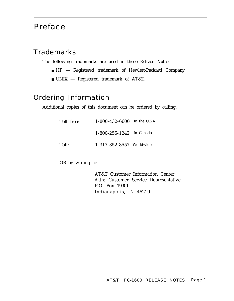## <span id="page-3-2"></span>Preface

#### <span id="page-3-0"></span>**Trademarks**

The following trademarks are used in these *Release Notes:*

- HP Registered trademark of Hewlett-Packard Company
- UNIX Registered trademark of AT&T.

## <span id="page-3-1"></span>Ordering Information

Additional copies of this document can be ordered by calling:

| Toll free: |                                  | $1 - 800 - 432 - 6600$ In the U.S.A. |  |
|------------|----------------------------------|--------------------------------------|--|
|            | 1-800-255-1242 In Canada         |                                      |  |
| Toll:      | $1 - 317 - 352 - 8557$ Worldwide |                                      |  |

OR by writing to:

AT&T Customer Information Center Attn: Customer Service Representative P.O. Box 19901 Indianapolis, IN 46219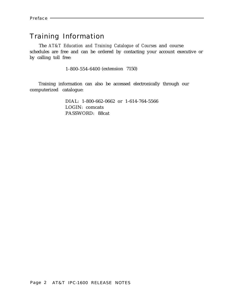### <span id="page-4-0"></span>Training Information

The *AT&T Education and Training Catalogue of Courses* and course schedules are free and can be ordered by contacting your account executive or by calling toll free:

1-800-554-6400 (extension 7150)

Training information can also be accessed electronically through our computerized catalogue:

> DIAL: 1-800-662-0662 or 1-614-764-5566 LOGIN: comcats PASSWORD: 88cat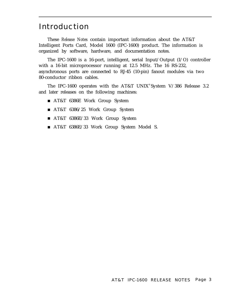## <span id="page-5-0"></span>Introduction

These *Release Notes* contain important information about the AT&T Intelligent Ports Card, Model 1600 (IPC-1600) product. The information is organized by software, hardware, and documentation notes.

The IPC-1600 is a 16-port, intelligent, serial Input/Output (I/O) controller with a 16-bit microprocessor running at 12.5 MHz. The 16 RS-232, asynchronous ports are connected to RJ-45 (10-pin) fanout modules via two 80-conductor ribbon cables.

The IPC-1600 operates with the AT&T UNIX® System V/386 Release 3.2 and later releases on the following machines:

- AT&T 6386E Work Group System
- AT&T 6386/25 Work Group System
- AT&T 6386E/33 Work Group System
- AT&T 6386E/33 Work Group System Model S.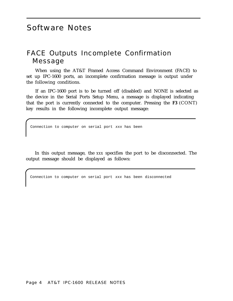# <span id="page-6-1"></span>Software Notes

### <span id="page-6-0"></span>FACE Outputs Incomplete Confirmation Message

When using the AT&T Framed Access Command Environment (FACE) to set up IPC-1600 ports, an incomplete confirmation message is output under the following conditions.

If an IPC-1600 port is to be turned off (disabled) and NONE is selected as the device in the Serial Ports Setup Menu, a message is displayed indicating that the port is currently connected to the computer. Pressing the **F3** (CONT) key results in the following incomplete output message:

Connection to computer on serial port xxx has been

In this output message, the *xxx* specifies the port to be disconnected. The output message should be displayed as follows:

Connection to computer on serial port xxx has been disconnected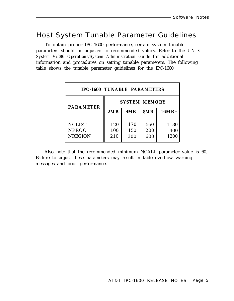## <span id="page-7-0"></span>Host System Tunable Parameter Guidelines

To obtain proper IPC-1600 performance, certain system tunable parameters should be adjusted to recommended values. Refer to the *UNIX System V/386 Operations/System Administration Guide* for additional information and procedures on setting tunable parameters. The following table shows the tunable parameter guidelines for the IPC-1600.

| <b>IPC-1600 TUNABLE PARAMETERS</b>              |                      |                   |                   |                     |
|-------------------------------------------------|----------------------|-------------------|-------------------|---------------------|
| <b>PARAMETER</b>                                | <b>SYSTEM MEMORY</b> |                   |                   |                     |
|                                                 | 2MB                  | 4MB               | <b>8MB</b>        | $16MB+$             |
| <b>NCLIST</b><br><b>NPROC</b><br><b>NREGION</b> | 120<br>100<br>210    | 170<br>150<br>300 | 560<br>200<br>600 | 1180<br>400<br>1200 |

Also note that the recommended minimum NCALL parameter value is 60. Failure to adjust these parameters may result in table overflow warning messages and poor performance.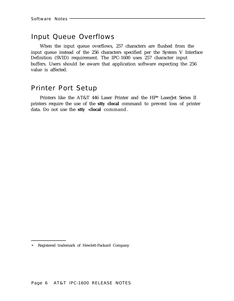#### <span id="page-8-0"></span>Input Queue Overflows

When the input queue overflows, 257 characters are flushed from the input queue instead of the 256 characters specified per the System V Interface Definition (SVID) requirement. The IPC-1600 uses 257 character input buffers. Users should be aware that application software expecting the 256 value is affected.

#### <span id="page-8-1"></span>Printer Port Setup

Printers like the AT&T 446 Laser Printer and the HP\* LaserJet Series II printers require the use of the **stty clocal** command to prevent loss of printer data. Do not use the **stty -clocal** command.

<sup>\*</sup> Registered trademark of Hewlett-Packard Company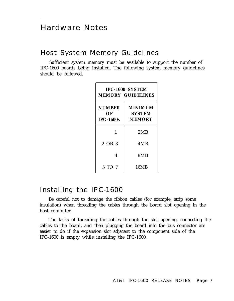## <span id="page-9-2"></span>Hardware Notes

#### <span id="page-9-0"></span>Host System Memory Guidelines

<span id="page-9-1"></span>Sufficient system memory must be available to support the number of IPC-1600 boards being installed. The following system memory guidelines should be followed.

| IPC-1600 SYSTEM<br><b>MEMORY GUIDELINES</b> |                                                  |  |  |  |
|---------------------------------------------|--------------------------------------------------|--|--|--|
| <b>NUMBER</b><br>OЕ<br><b>IPC-1600s</b>     | <b>MINIMUM</b><br><b>SYSTEM</b><br><b>MEMORY</b> |  |  |  |
| 1                                           | 2MB                                              |  |  |  |
| 2 OR 3                                      | 4 M B                                            |  |  |  |
| 4                                           | 8MB                                              |  |  |  |
| 5 TO 7                                      | 16MB                                             |  |  |  |

#### Installing the IPC-1600

Be careful not to damage the ribbon cables (for example, strip some insulation) when threading the cables through the board slot opening in the host computer.

The tasks of threading the cables through the slot opening, connecting the cables to the board, and then plugging the board into the bus connector are easier to do if the expansion slot adjacent to the component side of the IPC-1600 is empty while installing the IPC-1600.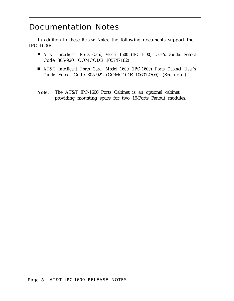## <span id="page-10-0"></span>Documentation Notes

In addition to these *Release Notes,* the following documents support the IPC-1600:

- *AT&T Intelligent Ports Card, Model 1600 (IPC-1600) User's Guide, Select* Code 305-920 (COMCODE 105747182)
- *AT&T Intelligent Ports Card, Model 1600 (IPC-1600) Ports Cabinet User's Guide,* Select Code 305-922 (COMCODE 106072705). (See note.)
- **Note:** The AT&T IPC-1600 Ports Cabinet is an optional cabinet, providing mounting space for two 16-Ports Fanout modules.